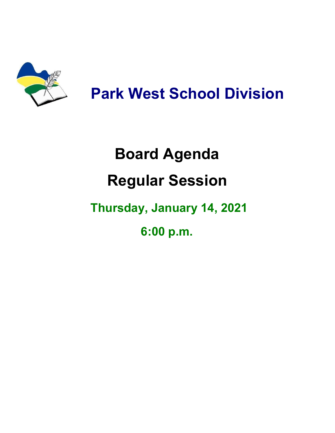

## **Park West School Division**

# **Board Agenda Regular Session**

## **Thursday, January 14, 2021**

**6:00 p.m.**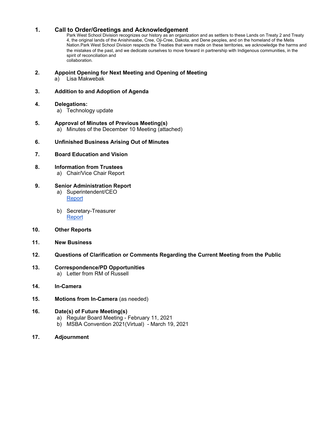#### **1. Call to Order/Greetings and Acknowledgement**

Park West School Division recognizes our history as an organization and as settlers to these Lands on Treaty 2 and Treaty 4, the original lands of the Anishinaabe, Cree, Oji-Cree, Dakota, and Dene peoples, and on the homeland of the Metis Nation.Park West School Division respects the Treaties that were made on these territories, we acknowledge the harms and the mistakes of the past, and we dedicate ourselves to move forward in partnership with Indigenous communities, in the spirit of reconciliation and collaboration.

#### **2. Appoint Opening for Next Meeting and Opening of Meeting**

a) Lisa Makwebak

#### **3. Addition to and Adoption of Agenda**

#### **4. Delegations:**

- a) Technology update
- **5. Approval of Minutes of Previous Meeting(s)** a) Minutes of the December 10 Meeting (attached)
- **6. Unfinished Business Arising Out of Minutes**
- **7. Board Education and Vision**
- **8. Information from Trustees**
	- a) Chair/Vice Chair Report

#### **9. Senior Administration Report**

- a) Superintendent/CEO **[Report](https://drive.google.com/file/d/1g5FyZS1Sie_60GN-XP0hiW-w_a26-CHs/view?usp=sharing)**
- b) Secretary-Treasurer [Report](https://drive.google.com/file/d/1MuHDnx3ZvaSn953PQZzgs1uwqr0r2_Bl/view?usp=sharing)
- **10. Other Reports**
- **11. New Business**
- **12. Questions of Clarification or Comments Regarding the Current Meeting from the Public**
- **13. Correspondence/PD Opportunities** a) Letter from RM of Russell
- **14. In-Camera**
- **15. Motions from In-Camera** (as needed)

#### **16. Date(s) of Future Meeting(s)**

- a) Regular Board Meeting February 11, 2021
- b) MSBA Convention 2021(Virtual) March 19, 2021
- **17. Adjournment**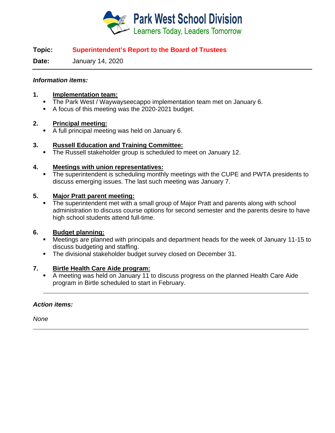

#### **Topic: Superintendent's Report to the Board of Trustees**

**Date:** January 14, 2020

#### *Information items:*

#### **1. Implementation team:**

- **The Park West / Waywayseecappo implementation team met on January 6.**
- A focus of this meeting was the 2020-2021 budget.

#### **2. Principal meeting:**

A full principal meeting was held on January 6.

#### **3. Russell Education and Training Committee:**

**The Russell stakeholder group is scheduled to meet on January 12.** 

#### **4. Meetings with union representatives:**

• The superintendent is scheduling monthly meetings with the CUPE and PWTA presidents to discuss emerging issues. The last such meeting was January 7.

#### **5. Major Pratt parent meeting:**

• The superintendent met with a small group of Major Pratt and parents along with school administration to discuss course options for second semester and the parents desire to have high school students attend full-time.

#### **6. Budget planning:**

- Meetings are planned with principals and department heads for the week of January 11-15 to discuss budgeting and staffing.
- The divisional stakeholder budget survey closed on December 31.

#### **7. Birtle Health Care Aide program:**

 A meeting was held on January 11 to discuss progress on the planned Health Care Aide program in Birtle scheduled to start in February.

#### *Action items:*

*None*